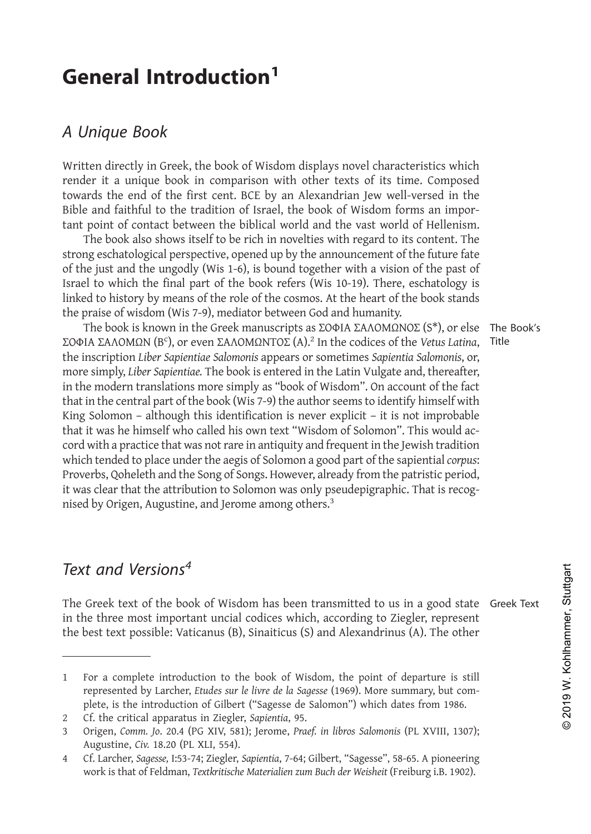**General Introduction<sup>1</sup><br>A Unique Book<br><sup>Written directly in Greek, the book of Wisdom displays novel character**</sup> **General Introduction<sup>1</sup>**<br>*A Unique Book*<br>written directly in Greek, the book of Wisdom dirender it a unique book in comparison with c<br>towards the end of the first cent. BCE by an A **General Introduction<sup>1</sup>**<br>A Unique Book<br>Written directly in Greek, the book of Wisdom displays novel characteristics which<br>render it a unique book in comparison with other texts of its time. Composed<br>towards the end of the **General Introduction<sup>1</sup>**<br>A Unique Book<br>Written directly in Greek, the book of Wisdom displays novel characteristics which<br>render it a unique book in comparison with other texts of its time. Composed<br>towards the end of the **General Introduction<sup>1</sup>**<br>A Unique Book<br>Written directly in Greek, the book of Wisdom displays novel characteristics which<br>render it a unique book in comparison with other texts of its time. Composed<br>towards the end of the

**A Unique Book**<br>
Written directly in Greek, the book of Wisdom displays novel characteristics which<br>
render it a unique book in comparison with other texts of its time. Composed<br>
towards the end of the first cent. BCE by a A Unique Book<br>Written directly in Greek, the book of Wisdom displays novel characteristics which<br>render it a unique book in comparison with other texts of its time. Composed<br>towards the end of the first cent. BCE by an Al **Jnique Book**<br>ten directly in Greek, the book of Wisdom displays novel characteristics which<br>ler it a unique book in comparison with other texts of its time. Composed<br>ards the end of the first cent. BCE by an Alexandrian **A Unique Book**<br>Written directly in Greek, the book of Wisdom displays novel characteristics which<br>render it a unique book in comparison with other texts of its time. Composed<br>towards the end of the first cent. BCE by an Of the just and the first and the first complete in the inexation of the inscription  $\mathbb{R}^2$ . The inscription  $\mathbb{R}^2$  is the inscription  $\mathbb{R}^2$  is the mask of its time. Composed towards the end of the first cent Written directly in Greek, the book of Wisdom displays novel characteristics which<br>render it a unique book in comparison with other texts of its time. Composed<br>towards the end of the first cent. BCE by an Alexandrian Jew w Whiteh and the means of the cosmolonial papars of the cosmolonic and the featurations with the rest of its time. Composed towards the end of the first cent. BCE by an Alexandrian Jew well-versed in the Bible and faithful t

render π a unique book in comparison with other texts of its time. Complete change to the first cent. BCE by an Alexandrian Jew well-versed is albile and faithful to the tradition of Israel, the book of Wisdom forms an in The end of the instruct. Decay and Alexandrial jew well-versed in the pook of Wisdom forms an impor-<br>point of contact between the biblical world and the vast world of fellenism.<br>The book also shows itself to be rich in no Blove and latinum to the tradition of Israel, the book of Wisdom Ic<br>tant point of contact between the biblical world and the vast worl<br>The book also shows itself to be rich in novelties with regard to<br>of the just and the Written directly in Greek, the book of Wisdom displays novel characteristics which<br>render it a unique book in comparison with other texts of its time. Composed<br>bouchs the end of the first cent. BCE by an Alexandrian Jew we towards the end of the first cent. BCE by an Alexandrian Jew well-versed in the Bible and faithful to the tradition of Israel, the book of Wisdom forms an important point of contact between the biblical world and the vast strong escantatorygate prespective, operated up by the armountement of the just and the migally (Wis 1-6), is bound together with a vision of the past of Israel to which the final part of the book refers (Wis 10-19). Ther of the just and the tungoury (Wis 1-9), is bound together with a vision of the past of stratel to which the final part of the book refers (Wis 10-19). There, eschablogy is linked to history by means of the role of the cos Istael to which the limal part of the book releves (wis 10-19). There, eschatology is linked to history by means of the role of the cosmos. At the heart of the book stands the praise of wisdom (Wis 7-9), mediator between threa το instory by means of the rote of the cosmos. At the heart of the book stantas<br>the praise of wisdom (Wis 7-9), mediator between God and humanity.<br>The book is known in the Greek manuscripts as ΣΟΦΙΑ ΣΑΛΟΜΩΝΣΟΣ (S\*), The practic with a product of extent of the cord and nutrimaliny.<br>The book is known in the Greek manuscripts as  $2001A \Sigma A\Lambda OMDO\Sigma(S^*),$  or else The Book's<br> $2001A \Sigma A\Lambda OMDN(S)$  (B°), or even  $\Sigma A\Lambda OMDNTO\Sigma(A)^2$  in the codices of t The book is known in the treets manuscripts as 2004A ZANOMIZINOL (S<sup>-7</sup>), or ese The Book is actomony to place the sapientia *Salomonis* or the inscription Liber Sapientiae Salomonis appears or sometimes *Sapientia Salomon* 2004 22004 22004 22004 22004 22004 22004 22004 22004 22004 22004 22004 22004 22004 22004 22004 22004 2200 1200 in the inscription Liber Sapientiae Salomonis appears or sometimes Sapientia Salomonis, or, more simply, Liber Ine inscription Liber superline submomis appears or sometimes superline submomis, or, more simply, Liber Sapieratiae. The book is entered in the Latin Vulgate and, thereafter, that in the central part of the book (Wis 7-9) The book is known in the Greek manuscripts as  $\Sigma$ OOIA  $\Sigma A \Lambda O$ M $\Omega$ <br> $\Sigma$ OOIA  $\Sigma A \Lambda O M \Lambda P$  (B°), or even  $\Sigma A \Lambda O M \Lambda N \Gamma \Omega \Sigma$  (A)<sup>2</sup> In the codices of<br>the inscription Liber Sapientiae Salomonis appears or sometimes Sapien<br>m

Proverbs, Qoheleth and the Song of Songs. However, already from the patristic period,<br>it was clear that the attribution to Solomon was only pseudepigraphic. That is recog-<br>mised by Origen, Augustine, and Jerome among othe it was clear that the attribution to Solomon was only pseudepigraphic. That is recog-<br>nised by Origen, Augustine, and Jerome among others.<sup>3</sup><br>Text and Versions<sup>4</sup><br>The Greek text of the book of Wisdom has been transmitted t Text and Versions<sup>4</sup><br>The Greek text of the book of Wisdom has been transmitted to us in a good state Greek Text<br>in the three most important uncilal codices which, according to Ziegler, represent<br>the best text possible: Vat **Text and Versions<sup>4</sup>**<br>The Greek text of the book of Wisdom has been transmitted to us in a good state Greek Te:<br>in the three most important uncial codices which, according to Ziegler, represent<br>the best text possible: Va represented by Carrier and Mersions<sup>4</sup><br>
Greek text of the book of Wisdom has been transmitted to us in a good state<br>
heet three most important uncial codices which, according to Ziegler, represent<br>
best text possible: Vati Greek text of the book of Wisdom has been transmitted to us in a good state Gree<br>ee three most important uncial codices which, according to Ziegler, represent<br>best text possible: Vaticanus (B), Sinaiticus (S) and Alexandri 2 Cf. the critical apparatus in Ziegler, *Sapientia*, 95. **EXT AND VETSIONS**<br>
The Greek text of the book of Wisdom has been transmitted to us in a good state Greek in the three most important uncial codices which, according to Ziegler, represent the best text possible: Vaticanus Greek Text<br>Greek Text<br>hammer, Stuttgart

The Book's

Title

best text possible: Vaticanus (B), Sinaitic<br>
For a complete introduction to the book c<br>
represented by Larcher, *Etudes sur le livre de*<br>
plete, is the introduction of Gilbert ("Sagess<br>
Cf. the critical apparatus in Ziegle For a complete introduction to the book of Wisdom, the point of departure is still<br>represented by Larcher, *Etudes sur le livre de la Sagesse* (1969). More summary, but com-<br>plete, is the introduction of Gilbert ("Sagesse extract that of Feldman, *Textkritische Materialien zum Buch der Weisheit* (Freiburg i.B. 1902).<br>The there most important uncial codices which, according to Ziegler, represent<br>best text possible: Vaticanus (B), Sinaiticus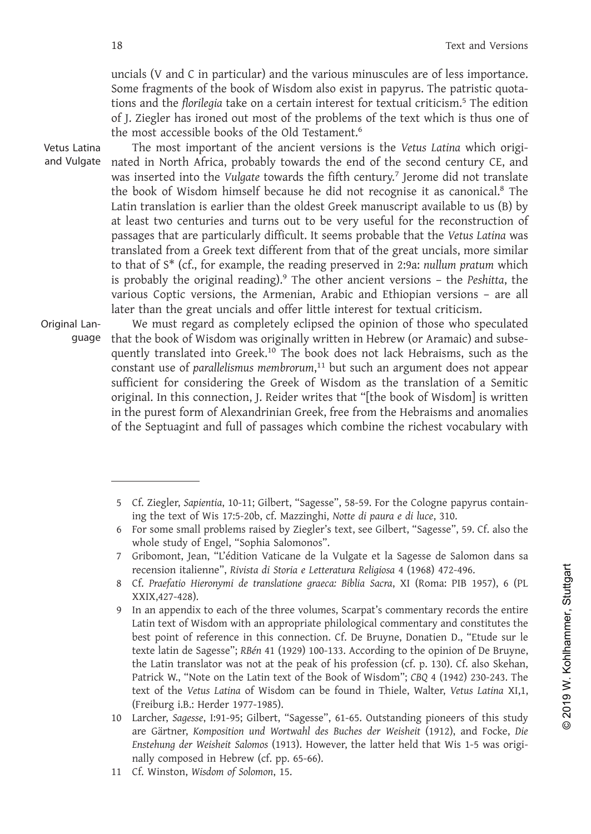18<br>
uncials (V and C<br>
Some fragments<br>
tions and the *flo*<br>
of J. Ziegler has<br>
the most accessi<br>
Vetus Latina<br>
The most in<br>
and Vulgate nated in North<br>
was inserted int<br>
the book of Wis Text and Versions<br>
18 Text and Versions<br>
18 Text and Versions<br>
18 Text and Versions<br>
18 Text and Versions<br>
18 Text and Versions<br>
18 Some fragments of the book of Wisdom also exist in papyrus. The patristic quota-<br>
16 Text Text and Versions<br>uncials (V and C in particular) and the various minuscules are of less importance.<br>Some fragments of the book of Wisdom also exist in papyrus. The patristic quota-<br>tions and the *florilegia* take on a cer Text and Versions<br>
uncials (V and C in particular) and the various minuscules are of less importance.<br>
Some fragments of the book of Wisdom also exist in papyrus. The patristic quota-<br>
tions and the *florilegia* take on a Text and Versions<br>
uncials (V and C in particular) and the various minuscules are of less importance.<br>
Some fragments of the book of Wisdom also exist in papyrus. The patristic quota-<br>
tions and the *florilegia* take on a

18<br>
18<br>
uncials (V and C<br>
Some fragments<br>
tions and the *flor*<br>
of J. Ziegler has i<br>
the most accessil<br>
Vetus Latina<br>
The most im<br>
and Vulgate<br>
nated in North *A*<br>
was inserted into<br>
the book of Wisc<br>
Latin translation Text and Versions<br>
uncials (V and C in particular) and the various minuscules are of less importance.<br>
Some fragments of the book of Wisdom also exist in papyrus. The patristic quota-<br>
tions and the *florilegia* take on a Text and Versions<br>Text and Versions<br>Some fragments of the book of Wisdom also exist in papyrus. The patristic quota-<br>Some fragments of the book of Wisdom also exist in papyrus. The patristic quota-<br>tions and the *florilegi* Text and Versions<br>Text and Versions<br>auncials (V and C in particular) and the various minuscules are of less importance.<br>Some fragments of the book of Wisdom also exist in papyrus. The patristic quota-<br>tions and the *floril* <sup>16</sup><br>some fragments of the book of Wisdom also exist in papyrus. The pat<br>tions and the *florilegia* take on a certain interest for textual criticism.<sup>5</sup><br>of J. Ziegler has ironed out most of the problems of the text which i Text and versions<br>
s are of less importance.<br>
rrus. The patristic quota-<br>
al criticism.<sup>5</sup> The edition<br>
rext which is thus one of<br>
Vetus Latina which origi-<br>
second century CE, and<br>
Jerome did not translate<br>
ise it as cano uncials (V and C in particular) and the various minuscules are of less importance.<br>Some fragments of the book of Wisdom also exist in papyrus. The patristic quotations and the florilegia take on a certain interest for text If the variant and the various immisculus are of less implements of the book of Wisdom also exist in papyrus. The patristic quotations and the *florilegia* take on a certain interest for textual criticism.<sup>5</sup> The edition o bound riggines of the book of wission anso exist in papyrits. The paristic quode-<br>tions and the florilegia take on a certain interest for textual criticism.<sup>5</sup> The edition<br>of J. Ziegler has ironed out most of the problems uncials (V and C in particular) and the various minuscules are of less importance.<br>Some fragments of the book of Wisdom also exist in papyrus. The patristic quota-<br>tions and the *florilegia* take on a certain interest for of *f*. Eigeir has inviet out inost of the probusins of the proteins of the most accessible books of the ancient versions is the *Vetus Latina* which originated in North Africa, probably towards the end of the second cent Some fragments of the book of Wisdom also exist in papyrus. The patristic quotations and the florilegia take on a certain interest for textual criticism.<sup>5</sup> The edition of J. Ziegler has ironed ot most of the problems of t if en most important of the ancient versions is the veras *taunia* whinch ong-<br>the book of Wisdom himself because he fifth century.<sup>7</sup> Jerome did not translate<br>the book of Wisdom himself because he did not recognise it as mated in voltri Armenia, probably wouths the eint of the second century C<sub>z</sub>, and<br>was inserted into the Vulgate towards the fifth century.<sup>7</sup> prome did not translate<br>the book of Wisdom himself because he did not recognise was inserted into the vargate towards the intri-dentury. Jerome du not translate<br>the book of Wisdom himself because he did not recognise it as canonical.<sup>8</sup> The<br>Latin translation is earlier than the oldest Greek manuscrip book of wisdom inimishin ecleatate in the ore recognise it as canonical. The translation is earlier than the oldest Greek manuscript available to us (B) by a cast two centuries and turns out to be very useful for the recon the book of Wisdom himself because he did not recognise it as canonical.<sup>8</sup> The Latin translation is earlier than the olest Greek manuscript available to us (B) by at least two centuries and turns out to be very useful for

Original Lan-

guage that the book of Wisdom was originally written in Hebrew (or Aramaic) and subse-Latin transiation is earlier than the oldest creek manuscript available to us (b) by<br>and least two centuries and turns out to be very useful for the reconstruction of<br>passages that are particularly difficult. It seems prob at least two centures and turns out to be very useful for the reconstruction of<br>passages that are particularly difficult. It seems probable that the *Vetus Latina* was<br>translated from a Greek text different from that of th translated from a creek text unierem from that of the great unclass, more similar<br>to that of  $s^*$  (cf., for example, the reading preserved in 2:9a: nullum pratum which<br>is probably the original reading).<sup>9</sup> The other anci to that or  $S$  (i.e., for example, the teaturing preserveus in 2.9a. human potation is probably the original reading).<sup>9</sup> The other ancient versions – the *Peshitta*, the various Coptic versions, the Armenian, Arabic and is procedury the original reading). The other ancient versions – the resisting, the purestions originally are the resisting the greek for textual criticism. We must regard as completely eclipsed the opinion of those who s various coptic versions, the *A*rmelian, *F*atou and chinoplan versions - are an latter than the great uncials and offer little interest for textual criticism. We must regard as completely eclipsed the opinion of those wh 11 This connection, J. Reider wittes that "fithe book of Wisdom] is written<br>irginal. In this connection, J. Reider writes that "[the book of Wisdom] is written<br>in the purest form of Alexandrinian Greek, free from the Hebra ntly translated into Greek.<sup>10</sup> The book does not lack Hebraisms, such a<br>tant use of parallelismus membrorum,<sup>11</sup> but such an argument does not a<br>cient for considering the Greek of Wisdom as the translation of a Se<br>inal. I

For some small problems raised by Ziegler's text, the Cologne papyrus contain-<br>
for septuagint and full of passages which combine the richest vocabulary with<br>
for some small problems raised by Ziegler's text, see Gilbert,

the Septuagint and full of passages which combine the richest vocabulary with<br>
5 Cf. Ziegler, Sapientia, 10-11; Gilbert, "Sagesse", 58-59. For the Cologne papyrus contain-<br>
ing the text of Wis 17:5-20b, cf. Mazzinghi, Nott recension in Alexandrinian Greek, free from the Hebraisms and anomalian<br>in Septuagint and full of passages which combine the richest vocabulary wit<br>cf. Ziegler, *Sapientia*, 10-11; Gilbert, "Sagesse", 58-59. For the Cologn 8 Cf. *Praefatio Hieronymi de translatione sinessages* which combine the richest vocabulary with<br>
5 Cf. Ziegler, Sapientia, 10-11; Gilbert, "Sagesse", 58-59. For the Cologne papyrus contain-<br>
6 For some small problems rais XXIX,427-428).<br>9 In an appendix to each of the three volumes, Scarpat's commentary records the entire 9 S Cf. Ziegler, Sapientia, 10-11; Gilbert, "Sagesse", 58-59. For the Cologne papyrus contain-<br>
ing the text of Wis 17:5-20b, cf. Mazzinghi, Notte di paura e di luce, 310.<br>
6 For some small problems raised by Ziegler's te ein text of Wisdom with an appropriate philological comments of De Bruyne, Fig. 2003. The United States of Wisdom with a state of Wisdom with a state of Wisdom with a state of Wisdom with a state of Wisdom with a state of For some small problems raised by Ziegler's text, see Gilbert, "Sagesse", 59. Cf. also the<br>
whole study of Engel, "Sophia Salomonos".<br>
Gribomont, Jean, "L'édition Vaticane de la Vulgate et la Sagesse de Salomon dans sa<br>
r the study of Engel, "Sophia Salomonos".<br>
Stribomont, Jean, "L'édition Vaticane de la Vulgate et la Sagesse de Salomon dans sa<br>
recension italienne", Rivista di Storia e Letteratura Religiosa 4 (1968) 472-496.<br>
Cf. Praefati Frichmont, Jean, "L'édition Vaticane de la Vulgate et la Sagesse de Salomon dans sa<br>
recension italienne", Rivista di Storia e Letteratura Religiosa 4 (1968) 472-496.<br>
Cf. Praefatio Hieronymi de translatione graeca: Bibli Freension italienne", Rivista di Storia e Letteratura Religiosa 4 (1968) 472-496.<br>
Cf. Praefatio Hieronymi de translatione graeca: Biblia Sacra, XI (Roma: PIB 1957), 6 (PL<br>
XXIX,427-428).<br>
In an appendix to each of the thr For some small problems raised by Ziegler's text, see Gilbert, "Sagesse", 59. Cf. also the<br>
whole study of Engel, "Sophia Salomonos".<br>
Gribomont, Jean, "L'édition Vaticane de la Vulgate et la Sagesse de Salomon dans sa<br>
re er. *Thayata Intronymi* at *Eumistation* grace XXIX,427-428).<br>
In an appendix to each of the three volume<br>
Latin text of Wisdom with an appropriate p<br>
best point of reference in this connection<br>
texte latin de Sagesse"; *R* 10 In an appendix to each of the three volumes, Scarpat's commentary records the entire<br>
Latin text of Wisdom with an appropriate philological commentary and constitutes the<br>
best point of reference in this connection. Cf. recension italienne", *Rivista di Storia e Letteratura Religiosa* 4 (1968) 472-496.<br>
Cf. *Praefatio Hieronymi de translatione graeca: Biblia Sacra*, *XI* (*Roma: PIB 1957)*, 6 (*PL*<br>
In an appendix to each of the three vol Cf. *Praefatio Hieronymi de translatione graeca: Biblia Sacra,* XI (Roma: PIB 1957), 6 (PL<br>XXIX,427-428).<br>In an appendix to each of the three volumes, Scarpat's commentary records the entire<br>Latin text of Wisdom with an ap best point of reference in this connection. Cr. Le it texte latin de Sagesse"; RBén 41 (1929) 100-133. According the Latin translator was not at the peak of his proference of the Vetus Latina of Wisdom can be found if (Fre 9 In an appendix to each of the three volumes<br>Latin text of Wisdom with an appropriate ph<br>best point of reference in this connection.<br>texte latin de Sagesse"; RBén 41 (1929) 100-13<br>the Latin translator was not at the peak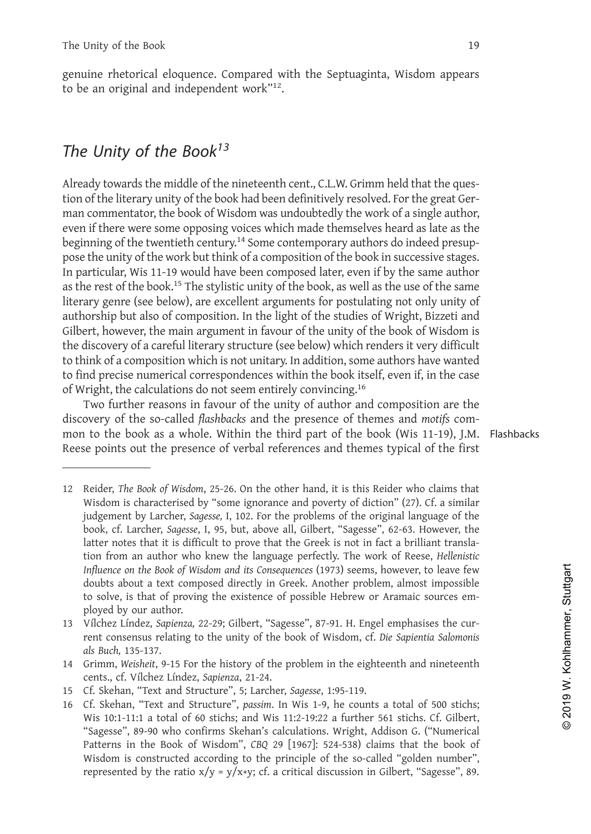The Unity of the Book 19<br>genuine rhetorical eloquence. Compared with the Septuaginta, Wisdom appears<br>to be an original and independent work"<sup>12</sup>. The Unity of the Book 19<br>genuine rhetorical eloquence. Compared with the Septuaginta, Wisdom appears<br>to be an original and independent work"<sup>12</sup>.<br>The Unity of the Book<sup>13</sup> The Unity of the Book<br>genuine rhetorical eloquence. Compared with the Septuag<br>to be an original and independent work"<sup>12</sup>.<br>The Unity of the Book<sup>13</sup> to be an original and independent work"<sup>12</sup>.

The Unity of the Book<br>genuine rhetorical eloquence. Compared with the Sto<br>be an original and independent work"<sup>12</sup>.<br>**The Unity of the Book**<sup>13</sup><br>Already towards the middle of the nineteenth cent., C.L<br>tion of the literary u genuine rhetorical eloquence. Compared with the Septuaginta, Wisdom appears<br>to be an original and independent work"<sup>12</sup>.<br>The Unity of the Book<sup>13</sup><br>Already towards the middle of the nineteenth cent., C.L.W. Grimm held that genuine rhetorical eloquence. Compared with the Septuaginta, Wisdom appears<br>to be an original and independent work"<sup>12</sup>.<br>The Unity of the Book<sup>13</sup><br>Already towards the middle of the nineteenth cent., C.L.W. Grimm held that to be an original and independent work"<sup>12</sup>.<br>
The Unity of the Book<sup>13</sup><br>
Already towards the middle of the nineteenth cent., C.L.W. Grimm held that the question of the literary unity of the book had been definitively reso The Unity of the Book<sup>13</sup><br>Already towards the middle of the nineteenth cent., C.L.W. Grimm held that the question of the literary unity of the book had been definitively resolved. For the great German commentator, the boo **The Unity of the Book<sup>13</sup>**<br>Already towards the middle of the nineteenth cent., C.L.W. Grimm held that the question of the literary unity of the book had been definitively resolved. For the great German commentator, the b **The Unity of the Book<sup>13</sup>**<br>Already towards the middle of the nineteenth cent., C.L.W. Grimm held that the question of the literary unity of the book had been definitively resolved. For the great German commentator, the b **The Unity of the Book<sup>13</sup>**<br>Already towards the middle of the nineteenth cent., C.L.W. Grimm held that the question of the literary unity of the book had been definitively resolved. For the great German commentator, the b Already towards the midle of the nineteenth cent., C.L.W. Grimm held that the question of the literary unity of the book had been definitively resolved. For the great German commentator, the book of Wisdom was undoubtedly Already towards the middle of the nineteenth cent., C.L.W. Grimm held that the question of the literary unity of the book had been definitively resolved. For the great German commentator, the book of Wisdom was undoubtedly Auteauty towarts the midde of the interestint cent, c.c.t.w. Orifinm freat that the question of the literary unity of the book had been definitively resolved. For the great German commentator, the book of Wisdom was undou However, the main expective measured the mail of the work favour. For the gireal verture and momentator, the book of Wisdom was undoubtedly the work of a single author, even if there were some opposing voices which made t mant commentator, the book of wissubm was undoubledly the work of a single author, the boey in the beginning of the twentieth century.<sup>14</sup> Some contemporary authors do indeed presup-<br>pose the unity of the work but think o event if there were some opposing voices which made themseves neard as alce as the beginning of the twork but think of a composition of the book in successive stages. In particular, Wis 11-19 would have been composed later begining of the worldent elentury. Some contemporary authors to indeed presup-<br>the unity of the work tult think of a composition of the book in successive stages.<br>In particular, Wis 11-19 would have been composed later, ev pose the unity of the worw out timits of a composition of the book, in such that is the rest of the book.<sup>15</sup> The stylistic unity of the book, as well as the use of the same literary genre (see below), are excellent argume diterary genere (see below), are excellent arguments for prosting and the using the discovery of a careful literary served length of the studies of Wright, Bizzeti and Gilbert, however, the main argument in favour of the u meraly gent (see elolow), are excellent arguments for postudaring not only umity of the studies of Wright, Bizzeti and Gilbert, however, the main argument in favour of the unity of the book of Wisdom is the discovery of a aturiorsinp out asso or composition. In the ingit or the studies of wright, bizzeti and<br>Gibert, however, the main argument in favour of the unity of the book of Wisdom is<br>the discovery of a careful literary structure (see

mon to the book as a whole. Within the third part of the book (Wis 11-19), J.M. Flashbacks

- Gilbert, however, the main argument in favour of the unity of the book of Wisdom is<br>the discovery of a careful literary structure (see below) which renders it very difficult<br>to think of a composition which is not unitary. Fright, the calculations do not seem entirely convincing.<sup>16</sup><br>Two further reasons in favour of the unity of author and composition are the<br>overy of the so-called *flashbacks* and the presence of themes and *motifs* com-<br>t Two further reasons in favour of the unity of author and composition are the<br>overy of the so-called *flashbacks* and the presence of themes and *motifs* com-<br>to the book as a whole. Within the third part of the book (Wis 1 overy of the so-called *flashbacks* and the presence of themes and *motifs* com-<br>
to the book as a whole. Within the third part of the book (Wis 11-19), J.M. Flashbacks<br>
se points out the presence of verbal references and latter that it is difficult of the book (Wis 11-19), J.M.<br>
Reider, *The Book of Wisdom*, 25-26. On the other hand, it is this Reider who claims that<br>
Wisdom is characterised by "some ignorance and poverty of diction" (27). the presence of verbal references and themes typical of the first<br>Reider, *The Book of Wisdom*, 25-26. On the other hand, it is this Reider who claims that<br>Wisdom is characterised by "some ignorance and poverty of diction" *INFIFT FERISONS III TAUOUT OT the URITY OF during OT during on the Consequence of the Book (Wiss 11-19), J.M. Flashbacks are wovery of the socialed <i>flashbacks* and the presence of themes and *motifs* com-<br> *In to the boo* Reider, *The Book of Wisdom*, 25-26. On the other hand, it is this Reider who claims that<br>Wisdom is characterised by "some ignorance and poverty of diction" (27). Cf. a similar<br>judgement by Larcher, *Sagesse*, 1, 102. For Reider, *The Book of Wisdom*, 25-26. On the other hand, it is this Reider who claims that Wisdom is characterised by "some ignorance and poverty of diction" (27). Cf. a similar judgement by Larcher, *Sagesse*, I, 102. For Reader, *The Book of Wislami*, 25 2<br>Wisdom is characterised by "soi<br>judgement by Larcher, *Sagesse*, I, 95,<br>book, cf. Larcher, *Sagesse*, I, 95,<br>latter notes that it is difficult to<br>tion from an author who knew<br>*Influence* 13 Vílchez Líndez, *Sapienza,* 22-29; Gilbert, "Sagesse", 87-91. H. Engel emphasises the cur-Reider, *The Book of Wisdom*, 25-26. On the other hand, it is this Reider who claims that Wisdom is characterised by "some ignorance and poverty of diction" (27). Cf. a similar judgement by Larcher, *Sagesse*, I, 102. For Reider, *The Book of Wisdom*,<br>Wisdom is characterised by<br>judgement by Larcher, *Sage*<br>book, cf. Larcher, *Sagesse*, latter notes that it is diffic<br>tion from an author who<br>*Influence on the Book of Wisd*<br>doubts about a text 14 Grimm, Weisheit, 9-15 For the history of the problem in the eighteenth and nineteenth consequences (1973) seems, however, to leave few doubts about a text composed directly in Greek. Another problem, almost impossible t
- 
- 
- 
- Influence on the Book of Wisdom and its Consequences<br>doubts about a text composed directly in Greek. A<br>to solve, is that of proving the existence of possib<br>ployed by our author.<br>Vilchez Líndez, *Sapienza*, 22-29; Gilbert, 16 doubts about a text composed directly in Greek. Another problem, alm to solve, is that of proving the existence of possible Hebrew or Arama ployed by our author.<br>
13 Vílchez Líndez, *Sapienza*, 22-29; Gilbert, "Sagesse" 16 Cf. Skehan, "Fext and Structure", passim. In Wis 1-9, he counts a total of 500 stichs; when the content consensus relating to the unity of the book of Wisdom, cf. *Die Sapientia Salomonis* als *Buch*, 135-137.<br>19 Viche Whichez Lindez, sapienza, 22-29; Gilbert, "Sagesse", 87-91. H. Engel emphasises the current consensus relating to the unity of the book of Wisdom, cf. *Die Sapientia Salomonis als Buch*, 135-137.<br> *Sa Buch*, 135-137.<br>
Cf. Fract Entater, superlay, *CBQ* 29 [1967]: *CHA* 2012 and the Book of Wisdom, *C. Die Sapientia Salomonis* als *Buch*, 135-137.<br>Grimm, *Weisheit*, 9-15 For the history of the problem in the eighteenth and nineteenth cents., For constructed according to the according to the broken, the separation of discussion of the problem in the eighteenth and nineteenth cents, cf. Vilchez Lindez, Sapienza, 21-24.<br>Cf. Skehan, "Text and Structure", 5; Larch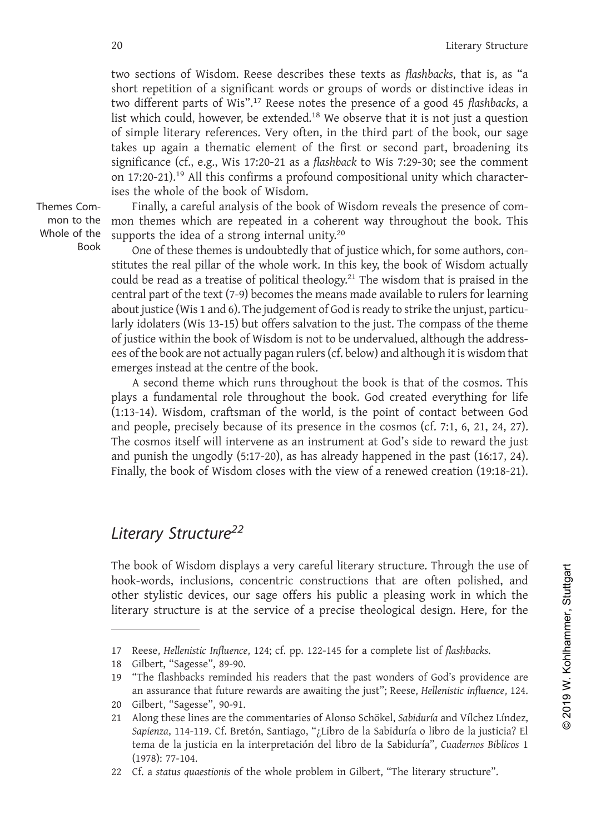two sections of I<br>short repetition of<br>two different pare<br>list which could,<br>of simple literary<br>takes up again a<br>significance (cf.,<br>on 17:20-21).<sup>19</sup> Al<br>ises the whole of<br>emes Com-<br>Finally, a carre<br>mon to the mon themes whic For the short repetition<br>two different part<br>ist which could,<br>of simple literary<br>takes up again a<br>significance (cf.,<br>on 17:20-21).<sup>19</sup> Al<br>ises the whole of<br>Themes Computer is a carrelation of the supports the idea<br>Whole of Literary Structure<br>
20 Literary Structure<br>
20 Literary Structure<br>
20 Literary Structure<br>
20 Literary Structure<br>
20 Literary Structure<br>
20 Literary Structure<br>
20 Short repetition of a significant words or groups of words or Literary Structure<br>two sections of Wisdom. Reese describes these texts as *flashbacks*, that is, as "a<br>short repetition of a significant words or groups of words or distinctive ideas in<br>two different parts of Wis".<sup>17</sup> Ree Literary Structure<br>two sections of Wisdom. Reese describes these texts as *flashbacks*, that is, as "a<br>short repetition of a significant words or groups of words or distinctive ideas in<br>two different parts of Wis''.<sup>17</sup> Re Literary Structure<br>two sections of Wisdom. Reese describes these texts as *flashbacks*, that is, as "a<br>short repetition of a significant words or groups of words or distinctive ideas in<br>two different parts of Wis".<sup>17</sup> Ree Literary Structure<br>two sections of Wisdom. Reese describes these texts as *flashbacks*, that is, as "a<br>short repetition of a significant words or groups of words or distinctive ideas in<br>two different parts of Wis".<sup>17</sup> Ree Literary Structure<br>two sections of Wisdom. Reese describes these texts as *flashbacks*, that is, as "a<br>short repetition of a significant words or groups of words or districtive ideas in<br>two different parts of Wis'.<sup>17</sup> Ree Literary Structure<br>two sections of Wisdom. Reese describes these texts as *flashbacks*, that is, as "a<br>short repetition of a significant words or groups of words or distinctive ideas in<br>two different parts of Wis<sup>7.17</sup> Re Literary Structure<br>two sections of Wisdom. Reese describes these texts as *flashbacks*, that is, as "a<br>short repetition of a significant words or groups of words or distinctive ideas in<br>list which could, however, be extend Literary structure<br>two sections of Wisdom. Reese describes these texts as *flashbacks*, that is, as "a<br>short repetition of a significant words or groups of words or distinctive ideas in<br>two different parts of Wis".<sup>17</sup> Re two sections of Wisdom. Reese describes these<br>short repetition of a significant words or group<br>two different parts of Wis".<sup>17</sup> Reese notes the p<br>list which could, however, be extended.<sup>18</sup> We obs<br>of simple literary refere Sections of wisdom. Reese describes these texts as *justioucks*, that is, as a redention of a significant words or groups of words or distinctive ideas in different parts of Wis".<sup>17</sup> Reese notes the presence of a good 45 show tepertution a signimizant worus or groups or worlows or groups of unstructe teass in<br>the persence of a good 45 flashbacks, a<br>list which could, however, be extended.<sup>18</sup> We observe that it is not just a question<br>of si

Themes Com-<br>mon to the<br>Whole of the<br>Book

Book One of these themes is undoubtedly that of justice which, for some authors, con-First the internal that is on word internal unity. Neese interest the presence of a good  $\sim$  plustical units thich could, however, be extended.<sup>18</sup> We observe that it is not just a question of simple literary references. of simple metal y telerates. Very other, the thing that of the book, our sage<br>takes up again a thematic element of the first or second part, broadening its<br>significance (cf., e.g., Wis 17:20-21 as a flashback to Wis 7:29-3 asses up egain a tiental element of the rist of sectour part, to calering its<br>significance (cf., e.g., Wis 17:20-21 as a flashack to Wis 7:29-30; see the comment<br>on 17:20-21).<sup>19</sup> All this confirms a profound compositional symmatrice (ci., e.g., wis 17.20-2-1 as a *justional* compositional unity which characteriors on 17:20-21).<sup>13</sup> All this confirms a profound compositional unity which characterioses the whole of the book of Wisdom.<br>
Final bout 17.20-21). An this comitins a protound compositional umty which character-<br>ises the whole of the book of Wisdom. Finally, a careful analysis of the book of Wisdom reveals the presence of com-<br>mon themes which are rep If which of the book of wisdom.<br>
Finally, a careful analysis of the book of Wisdom reveals the presence of com-<br>
mon themes which are repeated in a coherent way throughout the book. This<br>
supports the idea of a strong int Finally, a careful analysis of the book of wisdom reveals the presence of com-<br>mon themes which are repeated in a coherent way throughout the book. This<br>supports the idea of a strong internal unity.<sup>20</sup> One of these theme mon thenes winch are repeated in a conferent way throughout the book. This supports the idea of a strong internal unity.<sup>20</sup> One of these themes is undoubtedly that of justice which, for some authors, constitutes the real supports the idea of a strong internationly.<br>
One of these themes is undoubtedly that of justi<br>
stitutes the real pillar of the whole work. In this k<br>
could be read as a treatise of political theology.<sup>21</sup> T<br>
central part One of these themes is undoubled with of plastice winch, it of some authors, con-<br>the the real pillar of the whole work. In this key, the book of Wisdom actually<br>d be read as a treatise of political theology<sup>21</sup> The wisdo structes the real pliar of the window work. In this key, the book of wisdom actually be read as a tractise of political theology.<sup>21</sup> The wisdom that is praised in the central part of the text (7-9) becomes the means made

could be read as a readise of pointcal theology. The wission that is praised in the part of the text (7-9) becomes the means made available to rulers for learning about justice (Wis 1 and 6). The judgement of God is ready entrar part of the text (1,-9) becomes the means made available to fullets for rearming the order in the data and all people and the unjust, particularly idolaters (Wis 13-15) but offers salvation to the just. The compass about justice (wis 1 a for 0). It put justices in to dot is ready to strike the unjust, particu-<br>larly idolaters (Wis 13-15) but offers salvation to the just. The compass of the theme<br>of justice within the book of Wisdom i and y uoders (was 15-15) out ours sawatuon to the just. The compass or the theme<br>es of the book are not actually pagan rulers (cf. below) and although the address-<br>ees of the book are not actually pagan rulers (cf. below) Finally, the book of Wisdom closes with the view of a renewed creation (19:18-21).<br>
The book of Wisdom can be about the book is that of the cosmos. This<br>
plays a fundamental role throughout the book is that of the cosmos. central part of the text (7-9) becomes the mean<br>about justice (Wis 1 and 6). The judgement of Gc<br>larly idolaters (Wis 13-15) but offers salvation<br>of justice within the book of Wisdom is not to l<br>ees of the book are not act

The cosmos itself will intervene as an instrument at God's side to reward the just<br>and punish the ungodly (5:17-20), as has already happened in the past (16:17, 24).<br>Finally, the book of Wisdom closes with the view of a r and punish the ungodly (5:17-20), as has already happened in the past (16:17, 24).<br>
Finally, the book of Wisdom closes with the view of a renewed creation (19:18-21).<br> **Literary Structure<sup>22</sup><br>
The book** of Wisdom displays Finally, the book of Wisdom closes with the view of a renewed creation (19:18-21).<br> **Literary Structure<sup>22</sup>**<br>
The book of Wisdom displays a very careful literary structure. Through the use of<br>
hook-words, inclusions, conc **Literary Structure**<sup>22</sup><br>
The book of Wisdom displays a very careful literary structure. Through the use of<br>
hook-words, inclusions, concentric constructions that are often polished, and<br>
other stylistic devices, our sage Literary Structure<sup>22</sup><br>
The book of Wisdom displays a very careful literary structure. Through the use of<br>
hook-words, inclusions, concentric constructions that are often polished, and<br>
other stylistic devices, our sage of The book of Wisdom displays a very careful literary structure. Through the use of<br>hook-words, inclusions, concentric constructions that are often polished, and<br>other stylistic devices, our sage offers his public a pleasin **Example Structure<sup>22</sup><br>
book of Wisdom displays a very careful literary structure. Through the use of<br>
E-words, inclusions, concentric constructions that are often polished, and<br>
are visit cevices, our sage offers his publ** 

other stylistic devices, our sage of<br>
ilterary structure is at the service<br>
<u>Ilterary structure</u> is at the service<br>
<u>Ilterary</u> structure is at the service<br>
13 Gilbert, "Sagesse", 89-90.<br>
19 "The flashbacks reminded his rea 22 CF. a status quaestionis of the whole problem in Gilbert, "The literary structure is at the service of a precise theological design. Here, for the these expected the service of a precise theological design. Here, for th *Sapienza*, 114-119. Cf. Bretón, Santiago, "*LET* and Sabiduría of *Sabibacks*.<br>
Sapient, "Sagesse", 89-90.<br>
The flashbacks reminded his readers that the past wonders of God's providence are<br>
san assurance that future rewa x-words, inclusions, concentric constructions that are often polished, and<br>
ary structure is at the service of a precise theological design. Here, for the<br>
ary structure is at the service of a precise theological design. H Reese, Hellenistic Influenc<br>Gilbert, "Sagesse", 89-90<br>"The flashbacks remind<br>an assurance that future<br>Gilbert, "Sagesse", 90-91<br>Along these lines are the<br>Sapienza, 114-119. Cf. Brutema de la justicia en la<br>(1978): 77-104.<br> 22 Cf. a *status quaestionis* of the whole problem in Gilbert, "The literary structure".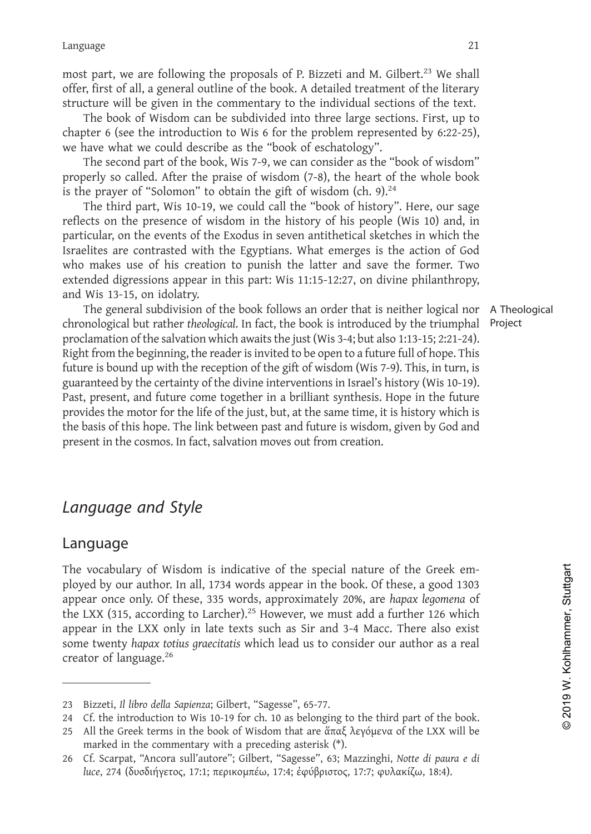21<br>most part, we are following the proposals of P. Bizzeti and M. Gilbert.<sup>23</sup> We shall<br>offer, first of all, a general outline of the book. A detailed treatment of the literary<br>structure will be given in the commentary to Language 21<br>
most part, we are following the proposals of P. Bizzeti and M. Gilbert.<sup>23</sup> We shall<br>
offer, first of all, a general outline of the book. A detailed treatment of the literary<br>
structure will be given in the c Language 21<br>most part, we are following the proposals of P. Bizzeti and M. Gilbert.<sup>23</sup> We shall<br>offer, first of all, a general outline of the book. A detailed treatment of the literary<br>structure will be given in the comm 21<br>t part, we are following the proposals of P. Bizzeti and M. Gilbert.<sup>23</sup> We shall<br>citure of Il, a general outline of the book. A detailed treatment of the literary<br>citure will be given in the commentary to the individua Language 221<br>
most part, we are following the proposals of P. Bizzeti and M. Gilbert.<sup>23</sup> We shall<br>
offer, first of all, a general outline of the book. A detailed treatment of the literary<br>
structure will be given in the

21<br>most part, we are following the proposals of P. Bizzeti and M. Gilbert.<sup>23</sup> We shall<br>offer, first of all, a general outline of the book. A detailed treatment of the literary<br>structure will be given in the commentary to most part, we are following the proposals of P. Bizzeti and M. Gilbert.<sup>23</sup> We shall offer, first of all, a general outline of the book. A detailed treatment of the literary structure will be given in the commentary to the oner, instor and general ottame of the cook. A retarated relations of the freerary<br>tructure will be given in the commentary to the individual sections of the text.<br>The book of Wisdom can be subdivided into three large sect structure win the syrem in the commentary to the inturvidual sections of the ext.<br>The book of Wisdom can be subdivided into three large sections. First, up to<br>chapter 6 (see the introduction to Wis 6 for the problem repres The book of wisdom can be sucurived into the large sections. This, up to the problem represented by 6:22-25), we have what we could describe as the "book of eschatology". The second part of the book, Wis 7-9, we can consi thapler of use the mitroduction to wis so for the plootent represented by 6.22-25), we have what we could describe as the "book of eschatology". The second part of the book, Wis 7-9, we can consider as the "book of wisdom" we may wrat we count uses the book of sectator of sectator and we fore the book of sectator of the book of sectator of the praise of wisdom (7-8), the heart of the whole book is the prayer of "Solomon" to obtain the gift o The second part of the book, wis<br>properly so called. After the praise of<br>is the prayer of "Solomon" to obtain<br>The third part, Wis 10-19, we co<br>reflects on the presence of wisdom<br>particular, on the events of the Exod<br>Israel

For yo Galeta. Atter the plase of wission (1-8), the fleat of the book follows and the prayer of "Solomon" to obtain the gift of wisdom (ch. 9).<sup>24</sup><br>The third part, Wis 10-19, we could call the "book of history". Here, our is the prayer of solution to obtain the gitt of wastem (cri. 9). The third part, Wis 10-19, we could call the "book of history". Here, our sage reflects on the presence of wisdom in the history of his people (Wis 10) and, Free time that part, wits 10-19, we could can the book of fissiony T. Free, out age<br>preflects on the presence of wisdom in the history of his people (Wis 10) and, in<br>particular, on the events of the Exodus in seven antithe reates on the persente or wisuom in the mistory on mis people (wis 10) and, m<br>particular, on the events of the Exodus in seven antithetical sketches in which the<br>Israelites are contrasted with the Egyptians. What emerges i particual, on the events of the Excusts in seven anticulated a sectectes in which the respections in Sectember when the reception of God who makes use of his creation to punish the latter and save the former. Two extended Israelies are contrasted wint in egyptians. What emerges is the action of God and who makes use of his creation to punish the latter and save the former. Two extended digressions appear in this part: Wis 11:15-12:27, on di with mass use of instreation to punish the tatter and save the former. Two masses use of instretching this part: Wis 11:15-12:27, on divine philanthropy, and Wis 13-15, on idolatry.<br>The general subdivision of the book foll extended are assoms appear in this part. Wis 11.15-12.27, on divine philanthropy,<br>and Wis 13-15, on idolatry.<br>The general subdivision of the book follows an order that is neither logical nor A Theological<br>chronological but The general subdivision of the book follows an order that is neither logical nor A Theological chronological but rather *theological*. In fact, the book is introduced by the triumphal Project proclamation of the salvation The general suburysion of the book follows an order that is helder the<br>chromological but rather *theological*. In fact, the book is introduced by the t<br>proclamation of the salvation which awaits the just (Wis 3-4; but also who makes use of his creation to punish the latter<br>extended digressions appear in this part: Wis 11:15-12:<br>and Wis 13-15, on idolatry.<br>The general subdivision of the book follows an order<br>chronological but rather *theologi* 

# Language

present in the cosmos. In fact, salvation moves out from creation.<br> **Language** and Style<br>
The vocabulary of Wisdom is indicative of the special nature of the Greek em-<br>
ployed by our author. In all, 1734 words, approximate **Language and Style**<br> **Language**<br>
The vocabulary of Wisdom is indicative of the special nature of the Greek em-<br>
ployed by our author. In all, 1734 words appear in the book. Of these, a good 1303<br>
appear once only. Of the pear on the basis of this hope. The link between past and future is wisdom, given by God and present in the cosmos. In fact, salvation moves out from creation.<br> **Language**<br> **Language**<br> **The vocabulary of Wisdom is indicati Language and Style**<br> **Language**<br>
The vocabulary of Wisdom is indicative of the special nature of the Greek em-<br>
ployed by our author. In all, 1734 words appear in the book. Of these, a good 1303<br>
appear once only. Of the **Language and Style**<br> **Language**<br>
The vocabulary of Wisdom is indicative of the special nature of the Greek em-<br>
ployed by our author. In all, 1734 words appear in the book. Of these, a good 1303<br>
appear once only. Of the **Language and Style**<br> **Language**<br>
The vocabulary of Wisdom is indicative of the special nature of the Greek em-<br>
ployed by our author. In all, 1734 words appear in the book. Of these, a good 1303<br>
appear once only. Of the Language<br>The vocabulary of Wisdom is indicative of the special natu<br>ployed by our author. In all, 1734 words appear in the book. <br>appear once only. Of these, 335 words, approximately 20%, a<br>the LXX (315, according to Larch appear once omy. Or these, 555 words, approximately 20%, are *napax legonena* of<br>the LXX (315, according to Larcher).<sup>25</sup> However, we must add a further 126 which<br>appear in the LXX (115, according to Larcher).<sup>25</sup> However 22 Bizzeti, *a*ll the Creek terms in the texts such as Sir and 3-4 Macc. There also exist<br>some twenty hapax totius graecitatis which lead us to consider our author as a real<br>creator of language.<sup>26</sup><br>23 Bizzeti, *Il libro* ear in the LXX only in late texts such as Sir and 3-4 Macc.<br>
e twenty hapax totius graecitatis which lead us to consider ou<br>
tor of language.<sup>26</sup><br>
Elizzeti, *Il libro della Sapienza*; Gilbert, "Sagesse", 65-77.<br>
Cf. the i appear once only. Of these, 335 words, approximately 20%, are *hapax legomena* of<br>the LXX (315, according to Larcher).<sup>25</sup> However, we must add a further 126 which<br>appear in the LXX only in late texts such as Sir and 3-4

**luce**, 2<sup>26</sup><br>**luce** in *luce* and *luce appienza;* Gilbert, "Sagesse", 65-77.<br>Cf. the introduction to Wis 10-19 for ch. 10 as belonging to the third part of the book.<br>All the Greek terms in the book of Wisdom that are ἅπ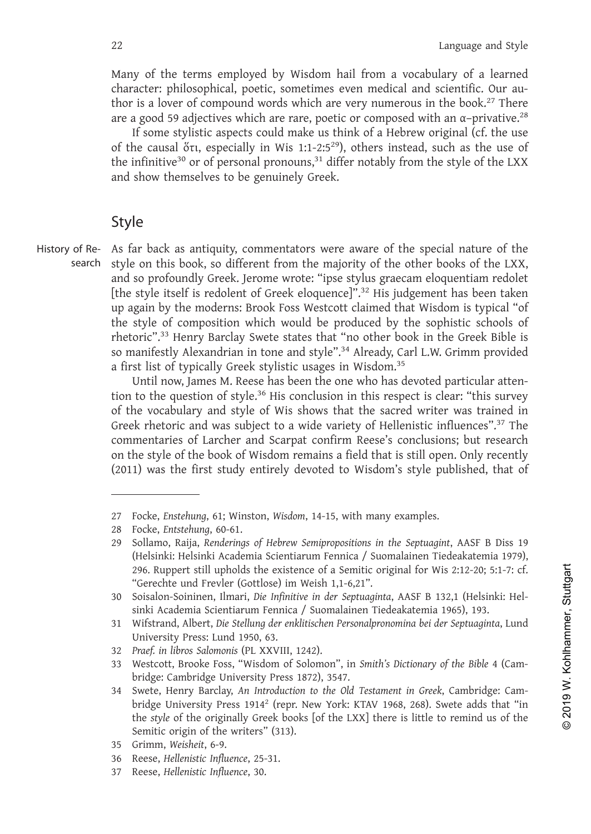Language and Style<br>
Many of the terms employed by Wisdom hail from a vocabulary of a learned<br>
character: philosophical, poetic, sometimes even medical and scientific. Our au-<br>
thor is a lover of compound words which are v Language and Style<br>Many of the terms employed by Wisdom hail from a vocabulary of a learned<br>character: philosophical, poetic, sometimes even medical and scientific. Our au-<br>thor is a lover of compound words which are very Language and Style<br>Many of the terms employed by Wisdom hail from a vocabulary of a learned<br>character: philosophical, poetic, sometimes even medical and scientific. Our au-<br>thor is a lover of compound words which are very Language and Style<br>
Many of the terms employed by Wisdom hail from a vocabulary of a learned<br>
character: philosophical, poetic, sometimes even medical and scientific. Our au-<br>
thor is a lover of compound words which are v any of the terms employed by Wisdom hail from a vocabulary of a learned character: philosophical, poetic, sometimes even medical and scientific. Our author is a lover of compound words which are very numerous in the book Language and Style<br>
Users of the terms employed by Wisdom hail from a vocabulary of a learned<br>
racter: philosophical, poetic, sometimes even medical and scientific. Our au-<br>
is a lover of compound words which are very num Language and style<br>
Many of the terms employed by Wisdom hail from a vocabulary of a learned<br>
character: philosophical, poetic, sometimes even medical and scientific. Our au-<br>
thor is a lover of compound words which are Language and Style<br>
Many of the terms employed by Wisdom hail from a vocabulary of a learned<br>
character: philosophical, poetic, sometimes even medical and scientific. Our au-<br>
thor is a lover of compound words which are v 22<br>
Many of the terms employed by Wisdom hail from<br>
character: philosophical, poetic, sometimes even med<br>
thor is a lover of compound words which are very nur<br>
are a good 59 adjectives which are rare, poetic or comp<br>
If s

# Style

History of Re-

search style on this book, so different from the majority of the other books of the LXX, are a good  $\gg$  any ectives wind are rare, poetic or composed with an  $\alpha$ -privative.<sup>55</sup><br>If some stylistic aspects could make us think of a Hebrew original (cf. the use<br>of the causal or, especially in Wis 1:1-2:5<sup>29</sup>), ot It some stylistic aspects colud make us think or a Hebrew original (cf. the use<br>of the causal ori, especially in Wis 1:1-2:5<sup>29</sup>), others instead, such as the use of<br>the infinitive<sup>30</sup> or of personal pronouns,<sup>31</sup> differ of the causal ort, especially in wis 1:1-2:5<sup>-7</sup>), others instead, such as the use of<br>the infinitive<sup>30</sup> or of personal pronouns,<sup>31</sup> differ notably from the style of the LXX<br>and show themselves to be genuinely Greek.<br>**Sty** The infinitive-" or or personal pronouns," differ notably from the style of the LXX<br>and show themselves to be genuinely Greek.<br>Style<br>As far back as antiquity, commentators were aware of the special nature of the<br>style on t Style<br>
Style Mas far back as antiquity, commentators were aware of the special nature of the<br>
style on this book, so different from the majority of the other books of the LXX,<br>
stude on profoundly Greek. Jerome wrote: "ips **Style**<br>
As far back as antiquity, commentators were aware of the special nature of the<br>
style on this book, so different from the majority of the other books of the LXX,<br>
and so profoundly Greek. Jerome wrote: "ipse styl **Style**<br>Style as far back as antiquity, commentators were aware of the special nature of the style on this book, so different from the majority of the other books of the LXX, and so profoundly Greek. Jerome wrote: "ipse s Style<br>
As far back as antiquity, commentators were aware of the special nature of the<br>
style on this book, so different from the majority of the other books of the LXX,<br>
and so profoundly Greek. Jerome wrote: "ipse stylus As far back as antiquity, commentators were aware of the special nature of the style on this book, so different from the majority of the other books of the LXX, and so profoundly Greek. Jerome wrote: "ipse stylus graecam e sige of this book, so unierent from the majority of the brows of the LAX, and so profoundly Greek. Jerome wrote: "ipse stylus graecam eloquentiam redolet [the style itself is redolent of Greek eloquence]".<sup>32</sup> His judgemen

and so proofunding views. Jerome wrote. The styles is dealed in eloquency and the style itself is redolent of Greek eloquence]".<sup>32</sup> His judgement has been taken the style of composition which would be produced by the soph Free in Stecolarito Terek relougation of the style and was been taken they again by the moderns: Brook Foss Westcott claimed that Wisdom is typical 'of the style of composition which would be produced by the sophistic scho the style in mucterns. Brook ross westcott clarined that wissom is typicar<br>the style of composition which would be produced by the sophistic schools of<br>rhetoric".<sup>33</sup> Henry Barclay Swete states that "no other book in the In style of composition wind would be produced by the sopinstic schools of<br>the style is so manifestly Alexandrian in tone and style".<sup>34</sup> Already, Carl L.W. Grimm provided<br>a first list of typically Greek stylistic usages i Frem to the first published, that we states that no other book in the Greek bible is<br>an affectly Alexandrian in tone and style".<sup>34</sup> Already, Carl L.W. Grimm provided<br>a first list of typically Greek stylistic usages in Wis 100 The question of style. This conclusion in this respect is clear. The of the vocabulary and style of Wis shows that the sacred writer was troreck rhetoric and was subject to a wide variety of Hellenistic influence comme of the vocabulary and style of Wi<br>Greek rhetoric and was subject to<br>commentaries of Larcher and Sca<br>on the style of the book of Wisdom<br>(2011) was the first study entirely<br>The study entirely<br>The study entirely<br>The Scoke, *E* Until now, James M. Reese has been the one who has devoted particular atten-<br>
tion to the question of style.<sup>36</sup> His conclusion in this respect is clear: "this survey<br>
of the vocabulary and style of Wis shows that the sacr

mentaries of Larcher and Scarpat contirm Reese's conclusions; but research<br>
he style of the book of Wisdom remains a field that is still open. Only recently<br>
1) was the first study entirely devoted to Wisdom's style publis commentaries of Larcher and Scarpat confirm Reese's conclusions; but research<br>on the style of the book of Wisdom remains a field that is still open. Only recently<br>(2011) was the first study entirely devoted to Wisdom's sty Focke, Enstehung, 61; Winston, Wisdom, 14-15, with many examples.<br>Focke, Entstehung, 60-61.<br>Sollamo, Raija, Renderings of Hebrew Semipropositions in the Septuagint, AASF B Diss 19<br>(Helsinki: Helsinki Academia Scientiarum F (2011) was the first study entirely devoted to Wisdom's style published, that of<br>
2011) was the first study entirely devoted to Wisdom's style published, that of<br>
27 Focke, *Entstellung*, 60-61.<br>
28 Focke, *Entstellung do-*Focke, *Enstehung*, 61, Winstern, Watem, 11<br>Focke, *Entstehung*, 60-61.<br>Sollamo, Raija, *Renderings of Hebrew Semi*<br>(Helsinki: Helsinki Academia Scientiarum<br>296. Ruppert still upholds the existence c<br>"Gerechte und Frevler

Focke, *Enstehung*, 61; Winston, *Wisdom*, 14-15, with Tash Focke, *Entstehung*, 60-61.<br>
23 Sollamo, Raija, *Renderings of Hebrew Semiproposition*<br>
(Helsinki: Helsinki Academia Scientiarum Fennica /<br>
296. Ruppert still uph 27 Focke, *Enstehung*, 61; Winston, *Wisdom*, 14-15, with many examples.<br>
28 Focke, *Entstehung*, 60-61.<br>
29 Sollamo, Raija, *Renderings of Hebrew Semipropositions in the Septuagint*, AASF B Diss 19<br>
(Helsinki: Helsinki Ac 206. Ruppert still upholds the existence of a Semitic orig<br>
296. Ruppert still upholds the existence of a Semitic orig<br>
"Gerechte und Frevler (Gottlose) im Weish 1,1-6,21".<br>
Soisalon-Soininen, Ilmari, *Die Infinitive in de* 28 Focke, *Entstehung*, 60-61.<br>
29 Sollamo, Raija, *Renderings of Hebrew Semipropositions in the Septuagint*, AASF B Diss 19<br>
(Helsinki: Helsinki Academia Scientiarum Fennica / Suomalainen Tiedeakatemia 1979),<br>
296. Rupper Socisalon-Sominen, Ilmari, *Die Infinitive in der Septuaginta*, AASF B 132,1 (Helsinki: Helsinki Academia Scientiarum Fennica / Suomalainen Tiedeakatemia 1965), 193.<br>Wifstrand, Albert, *Die Etellung der enklitischen Person* obasian' of original, pumative in the *styleagines*, the original sishki Academia Scientiarum Fennica / Suomalainen Tiedeakatemia 1965), 193.<br>Wifstrand, Albert, *Die Stellung der enklitischen Personalpronomina bei der Sept* Shiki Academia Scientia and Fermica 7 Saomanan<br>Wifstrand, Albert, Die Stellung der enklitischen Pers<br>University Press: Lund 1950, 63.<br>Praef. in libros Salomonis (PL XXVIII, 1242).<br>Westcott, Brooke Foss, "Wisdom of Solomon" 31 Wistrand, *Incert*, *De stelling* C<br>University Press: Lund 1950, 6:<br>Praef. in libros Salomonis (PL XX<br>33 Westcott, Brooke Foss, "Wisdo<br>bridge: Cambridge University <sup>1</sup><br>Swete, Henry Barclay, *An Intra*<br>bridge University 30 Soisalon-Soininen, Ilmari, *Die Infinitive in*<br>sinki Academia Scientiarum Fennica / Suc<br>Wifstrand, Albert, *Die Stellung der enklitisch*<br>University Press: Lund 1950, 63.<br>Praef. in libros Salomonis (PL XXVIII, 1242).<br>33 sinki Academia Scientiarum Fennica / 1<br>31 Wifstrand, Albert, *Die Stellung der enkliti*<br>University Press: Lund 1950, 63.<br>32 *Praef. in libros Salomonis* (PL XXVIII, 124<br>33 Westcott, Brooke Foss, "Wisdom of Solo<br>bridge: Cam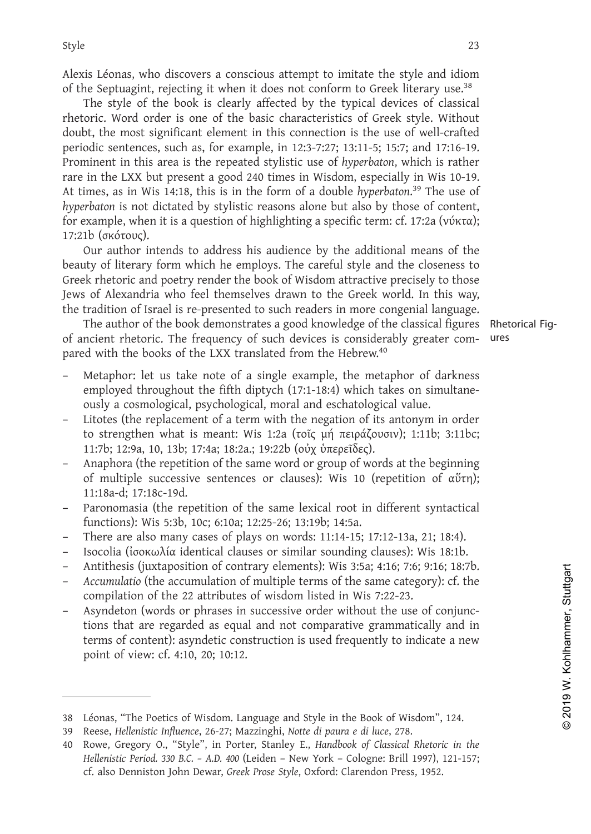<sup>23</sup><br>Alexis Léonas, who discovers a conscious attempt to imitate the style and idiom<br>of the Septuagint, rejecting it when it does not conform to Greek literary use.<sup>38</sup><br>The style of the book is clearly affected by the typi Style<br>
Alexis Léonas, who discovers a conscious attempt to imitate the style and idiom<br>
of the Septuagint, rejecting it when it does not conform to Greek literary use.<sup>38</sup><br>
The style of the book is clearly affected by the 23<br>
Style<br>
23<br>
Alexis Léonas, who discovers a conscious attempt to imitate the style and idiom<br>
of the Septuagint, rejecting it when it does not conform to Greek literary use.<sup>38</sup><br>
The style of the book is clearly affected 23<br>
delexis Léonas, who discovers a conscious attempt to imitate the style and idiom<br>
of the Septuagint, rejecting it when it does not conform to Greek literary use.<sup>38</sup><br>
The style of the book is clearly affected by the t Style<br>
23<br>
Alexis Léonas, who discovers a conscious attempt to imitate the style and idiom<br>
of the Septuagint, rejecting it when it does not conform to Greek literary use.<sup>38</sup><br>
The style of the book is clearly affected by 23<br>
Alexis Léonas, who discovers a conscious attempt to imitate the style and idiom<br>
of the Septuagint, rejecting it when it does not conform to Greek literary use.<sup>38</sup><br>
The style of the book is clearly affected by the ty Experiency and Marking is tyle and identify the style and idiom of the Septuagint, rejecting it when it does not conform to Greek literary use.<sup>38</sup> The style of the book is clearly affected by the typical devices of class Alexis Léonas, who discovers a conscious attempt to imitate the style and idiom<br>of the Septuagint, rejecting it when it does not conform to Greek literary use.<sup>38</sup><br>The style of the book is clearly affected by the typical *hiesas Econias, wino uscovers a conscious autempt τo immate the style and nonin-<br>of the Septuagint, rejecting it when it does not conform to Greek literary use.<sup>38</sup><br>The style of the book is clearly affected by the typica* or the septuagn in every the mind to the soliton that the soliton of the state may use.<br>The style of the book is clearly affected by the typical devices of classical<br>rhetoric. Word order is one of the basic characteristic The style of the book<br>Thetoric. Word order is or<br>doubt, the most significan<br>periodic sentences, such as<br>Prominent in this area is t<br>rare in the LXX but presen<br>At times, as in Wis 14:18, t<br>hyperbaton is not dictated l<br>for one. Word other is one of the basic trandactistics of orees signe. Winfour<br>of, the most significant element in this connection is the use of well-crafted<br>odic sentences, such as, for example, in 12:3-7:27; 13:11-5; 15:7; doutiv, the most signmature tentent in this connection is the estime of wein-clanted periodic sentences, such as, for example, in 12:3-7:27; 13:11-5; 15:7; and 17:16-19.<br>Prominent in this area is the repeated stylistic us Prominent in this area is to example, in 12.5-7.27, 13.1-3, 13.7, and 17.10-19.<br>
Prominent in this area is the repeated stylistic use of hyperbaton, which is rather<br>
Prace in the LXX but present a good 240 times in Wisdom Fromment in this area is the repeated sypistic use or *nyperotator*, wrinch is rather<br>are in the LXX but present a good 240 times in Wisdom, especially in Wis 10-19.<br>At times, as in Wis 14:18, this is in the form of a do

The EXN out present a good 240 times in wissum, especially in wis 10-19.<br>
At times, as in Wis 14:18, this is in the form of a double hyperbaton.<sup>39</sup> The use of<br>
hyperbaton is not dictated by stylistic reasons alone but al The author is a mindle of the book demonstrates a good knowledge of the classical with the solutions, the classical positive of content, example, when it is a question of highlighting a specific term: cf. 17:2a (νύκτα); t *Softer also be the complered with* the fits a question of highlighting a specific term: cf. 17:2a (vύκτα);<br>17:21b (σκότους).<br>
Our author intends to address his audience by the additional means of the<br>
beauty of literary pared with the books of the LXX translated from the books of the beauty of literary form which he employs. The careful style and the closeness to Greek theotric and poetry render the book of Wisdom attractive precisely to aty of literary form which he employs. The careful style and the closeness to<br>k rhetoric and poetry render the book of Wisdom attractive precisely to those<br>of Alexandria who feel themselves drawn to the Greek world. In th

- Greek rhetoric and poetry render the book of Wisdom attractive precisely to those<br>
Jews of Alexandria who feel themselves drawn to the Greek world. In this way,<br>
the tradition of Israel is re-presented to such readers in m tradition of Israel is re-presented to such readers in more congenial language.<br>The author of the book demonstrates a good knowledge of the classical figures Rhetoric<br>mcient rhetoric. The frequency of such devices is cons The author of the book demonstrates a good knowledge of the classical figures Rhetorical Fig-<br>of ancient rhetoric. The frequency of such devices is considerably greater com-<br>ures<br>pared with the books of the LXX translate of with the books of the LXX translated from the Hebrew.<sup>40</sup><br>Metaphor: let us take note of a single example, the metaphor of darkness<br>employed throughout the fifth diptych (17:1-18:4) which takes on simultane-<br>ously a cos - Metaphor: let us take note of a single example, the metaphor of darkness<br>
employed throughout the fifth diptych (17:1-18:4) which takes on simultane-<br>
ously a cosmological, psychological, moral and eschatological value.
- 
- 
- 
- 
- 
- 
- 
- empoyed triougnotal te fitm dipytor (17-1-13-4) wmit also instantane-<br>
and a cosmological, psychological, moral and sechatological value.<br>
 Litotes (the replacement of a term with the negation of its antonym in order<br>
t - Anaphota (the repetition of the same word or group of words at the beginning of multiple successive sentences or clauses): Wis 10 (repetition of αύτη); 11:18a-d; 17:18c-19d.<br>
- Paronomasia (the repetition of the same l 11:18a-q; 17:18c-19d; the repetition of the same lexical root in different syntactical<br>Functions): Wis 5:3b, 10c; 6:10a; 12:25-26; 13:19b; 14:5a.<br>There are also many cases of plays on words: 11:14-15; 17:12-13a, 21; 18:4) Parominasia (the repetution of the same lextical root in dimerent syntactical<br>functions): Wis 5:3b, 10c; 6:10a; 12:25-26; 13:19b; 14:5a.<br>There are also many cases of plays on words: 11:14-15; 17:12-13a, 21; 18:4).<br>Isocol Functions): Wis 5:50, 10c; 6:10a; 12:25-26;<br>There are also many cases of plays on wo<br>Isocolia (ίσοκωλία identical clauses or sim<br>Antithesis (juxtaposition of contrary elem<br>*Accumulatio* (the accumulation of multiple<br>compi 38 Léonas, "The Poetics of Wisdom. Language and Style in the Book of Wisdom", 124.<br>38 Léonas, "The Poetics of Wisdom. Language and Style in the Book of Wisdom", 124.<br>39 Léonas, "The Poetics of Wisdom. Language and Style in 39 Accumulatio (the accumulation of contrary elements): wis 3:3a; 4:16; 7:6; 9:16; 1.4 Compilation of the accumulation of multiple terms of the same category): cf Asyndeton (words or phrases in successive order without the - Accumulatio (the accumulation of multiple terms of the same category): cf. the compilation of the 22 attributes of wisdom listed in Wis 7:22-23.<br>Asyndeton (words or phrases in successive order without the use of conjunc-*Asyndeton* (words or phrases in successive order without the use of conjunctions that are regarded as equal and not comparative grammatically and in tions that are regarded as equal and not comparative grammatically and i Asyndeton (words or phrases in successive order without the use of conjunctions that are regarded as equal and not comparative grammatically and in terms of content): asyndetic construction is used frequently to indicate a

Rhetorical Figures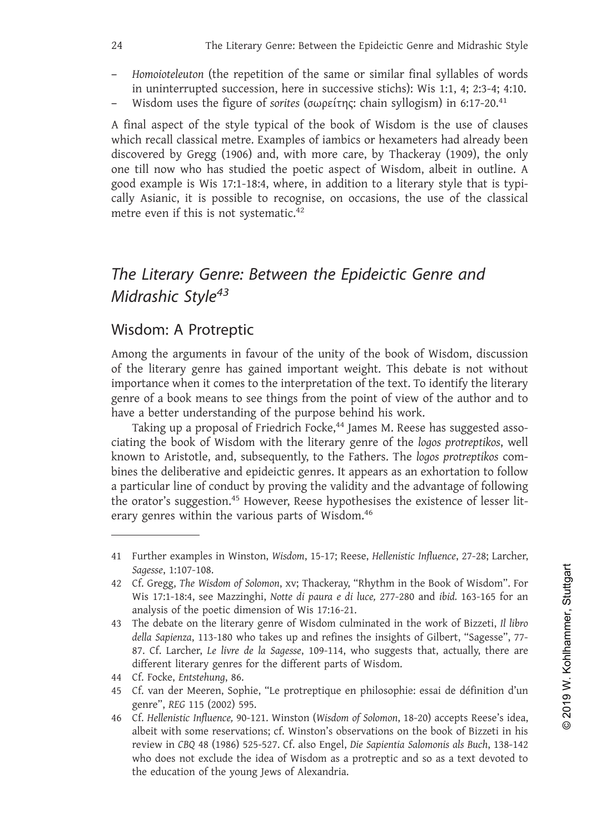- 
- 

24 The Literary Genre: Between the Epideictic Genre and Midrashic Style<br>
24 Homoioteleuton (the repetition of the same or similar final syllables of words<br>
25 in uninterrupted succession, here in successive stichs): Wis 1 <sup>24</sup> The Literary Genre: Between the Epideictic Genre and Midrashic Style<br>
<sup>24</sup> The Literary Genre: Between the Epideictic Genre and Midrashic Style<br>
<sup>2</sup> Homoioteleuton (the repetition of the same or similar final syllabl The Literary Genre: Between the Epideictic Genre and Midrashic Style<br>
- Homoioteleuton (the repetition of the same or similar final syllables of words<br>
in uninterrupted succession, here in successive stichs): Wis 1:1, 4; The Literary Genre: Between the Epideictic Genre and Midrashic Style<br>
- Homoioteleuton (the repetition of the same or similar final syllables of words<br>
in uninterrupted succession, here in successive stichs): Wis 1:1, 4; 2 The Literary Genre: Between the Epideictic Genre and Midrashic Style<br>
- Homoioteleuton (the repetition of the same or similar final syllables of words<br>
in uninterrupted succession, here in successive stichs): Wis 1:1, 4; - *Homoioteleuton* (the repetition of the same or similar final syllables of words<br>in uninterrupted succession, here in successive stichs): Wis 1:1, 4; 2:3-4; 4:10.<br>- Wisdom uses the figure of *sorites* (σωρείτης: chain s - Homoioteleuton (the repetition of the same or similar final syllables of words<br>in uninterrupted succession, here in successive stichs): Wis 1:1, 4; 2:3-4; 4:10.<br>- Wisdom uses the figure of *sorites* (σωρείτης: chain syl The Literary Genre: Between the Epideictic Genre and Midrashic Style<br>
- *Homoioteleuton* (the repetition of the same or similar final syllables of words<br>
in uninterrupted succession, here in successive stichs): Wis 1:1, 4; *- Homoioteleuton* (the repetition of the s<br>in uninterrupted succession, here in s<br>*-* Wisdom uses the figure of *sorites* (σωρ<br>A final aspect of the style typical of the<br>which recall classical metre. Examples of i<br>discov The absolution of the style typical of the book of v<br>which recall classical metre. Examples of iambics or discovered by Gregg (1906) and, with more care, by<br>one till now who has studied the poetic aspect of<br>good example i

The Literary Genre: Between the Epideictic Genre and<br>Midrashic Style<sup>43</sup><br>Wisdom: A Protreptic<br>Among the arguments in favour of the unity of the book of Wisdom, discussion<br>of the literary genre has gained important weight. The Literary Genre: Between the Epideictic Genre and<br>Midrashic Style<sup>43</sup><br>Wisdom: A Protreptic<br>Among the arguments in favour of the unity of the book of Wisdom, discussion<br>of the literary genre has gained important weight. The Literary Genre: Between the Epideictic Genre and<br>Midrashic Style<sup>43</sup><br>Wisdom: A Protreptic<br>Among the arguments in favour of the unity of the book of Wisdom, discussion<br>of the literary genre has gained important weight.

The Literary Genre: Between the Epideictic Genre and<br>
Midrashic Style<sup>43</sup><br>
Wisdom: A Protreptic<br>
Among the arguments in favour of the unity of the book of Wisdom, discussion<br>
of the literary genre has gained important weig **Midrashic Style<sup>43</sup>**<br>Wisdom: A Protreptic<br>Among the arguments in favour of the unity of the book of Wisdom,<br>of the literary genre has gained important weight. This debate is no<br>importance when it comes to the interpretat **Example 16 Completify**<br> **Subset of Friedrich Focket State State State State State State State State State State State State State State State State State State State State State State is not without<br>
ortance when it co** The Literary Genre: Between the Epideictic Genre and<br>
Midrashic Style<sup>43</sup><br>
Wisdom: A Protreptic<br>
Among the arguments in favour of the unity of the book of Wisdom, discussion<br>
of the literary genre has gained important weig Fine Literary Genre: Between the Epidelctic Genre and<br>Midrashic Style<sup>43</sup><br>Wisdom: A Protreptic<br>Among the arguments in favour of the unity of the book of Wisdom, discussion<br>of the literary genre has gained important weight. Among the arguments in favour of the unity of the book of Wisdom, discussion<br>of the literary genre has gained important weight. This debate is not without<br>importance when it comes to the interpretation of the text. To iden A particular line and to the unity of the book of wissuom, usus the following the difference when it comes to the interpretation of the text. To identify the literary genre of a book means to see things from the point of or the interary genie nas gamea important weight. This decade is not without<br>importance when it comes to the interpretation of the text. To identify the literary<br>genre of a book means to see things from the point of view o mportance with it comes to the metrepretation of the exat. To dentity the metaly<br>genre of a book means to see things from the point of view of the author and to<br>have a better understanding of the purpose behind his work.<br>T wn to Aristotle, and, sub<br>s the deliberative and ep<br>rticular line of conduct b<br>orator's suggestion.<sup>45</sup> Ho<br>y genres within the vario<br>Further examples in Winstc<br>Sagesse, 1:107-108.<br>Cf. Gregg, *The Wisdom of Sol*<br>Wis 17:1-18 Taking up a proposal of Friedrich Focke,<sup>44</sup> James M. Reese has suggested associating the book of Wisdom with the literary genre of the *logos protreptikos*, well known to Aristotle, and, subsequently, to the Fathers. The manney by the book of Wisdom with the literary genre of the *logos protreptikos*, well<br>wn to Aristotle, and, subsequently, to the Fathers. The *logos protreptikos* com-<br>sthe deliberative and epideictic genres. It appears a Associated and deviation of Sixterian and political genres. It appears as an exhortation to follow<br>a particular line of conduct by proving the validity and the advantage of following<br>the orator's suggestion.<sup>45</sup> However, R

orator's suggestion.<sup>45</sup> However, Reese hypothesises tly genres within the various parts of Wisdom.<sup>46</sup><br> **Further examples in Winston**, Wisdom, 15-17; Reese, *Helleni*<br> *Sagesse*, 1:107-108.<br>
Cf. Gregg, *The Wisdom of Solo della Sapienza*, 113-180 who takes up and refines the insights of Gilbert, "Sagestion.<sup>45</sup><br>
derived are interest of Conduct by proving the validity and the advantage of following<br> *dentos* in the various parts of Wisdom.<sup></sup> rticular line or conduct by proving the validity and the advantage or following<br>orator's suggestion.<sup>45</sup> However, Reese hypothesises the existence of lesser lit-<br>y genres within the various parts of Wisdom.<sup>46</sup><br>Further exa Further examples in Winston, Wisdom, 15-17; Reese, Hellenistic Influen<br>Sagesse, 1:107-108.<br>Cf. Gregg, The Wisdom of Solomon, xv; Thackeray, "Rhythm in the Bool<br>Wis 17:1-18:4, see Mazzinghi, Notte di paura e di luce, 277-28 11 Tattice Extemption Wilssell, Wilssell, Wilssell, 2003<br>
Sagesse, 1:107-108.<br>
42 Cf. Gregg, The Wisdom of Solomon, 3<br>
Wis 17:1-18:4, see Mazzinghi, Nott<br>
analysis of the poetic dimension c<br>
43 The debate on the literary g

<sup>44</sup> Cf. Gregg, The Wisdom of Solomon, xv; Thackeray, "Rhythm in the Book of Wisdom". For<br>Wis 17:1-18:4, see Mazzinghi, Notte di paura e di luce, 277-280 and ibid. 163-165 for an<br>analysis of the poetic dimension of Wis 17:16 er. oregg, *The Wisami of Sciemen, Av*, Wis 17:1-18:4, see Mazzinghi, *Notte d*<br>analysis of the poetic dimension of V<br>The debate on the literary genre of <sup>1</sup><br>della Sapienza, 113-180 who takes up<br>87. Cf. Larcher, *Le livre* 41 Further examples in Winston, *Wisdom*, 15-17; Reese, *Hellenistic Influence*, 27-28; Larcher, 42 Cf. Gregg, The Wisdom of Solomon, xv; Thackeray, "Rhythm in the Book of Wisdom". For Wis 17:1-18:4, see Mazzinghi, Notte d albeit with some reservations; cf. Winston: What we see the different (Fig. 11 libro<br>The debate on the literary genre of Wisdom culminated in the work of Bizzeti, *Il libro*<br>della Sapienza, 113-180 who takes up and refine Cf. Gregg, The Wisdom of Solomon, xv; Thackeray, "Rhythm in the Book of Wisdom". For Wisdom". For Wisdom and the dipear of diuce, 277-280 and ibid. 163-165 for an analysis of the poetic dimension of Wis 17:16-21.<br>The deba when when the idea of windows and the incomplement is a set of Larcher, Le livre de la Sagesse, 109-114, who suggests that, actually, there are different literary genres for the different parts of Wisdom.<br>Cf. Focke, *Ents* or, en Earcher, et avec an anagetse, 109 111, who suggedifferent literary genres for the different parts of Wisdor<br>Cf. Focke, *Entstehung*, 86.<br>Cf. van der Meeren, Sophie, "Le protreptique en philoso<br>genre", *REG* 115 (200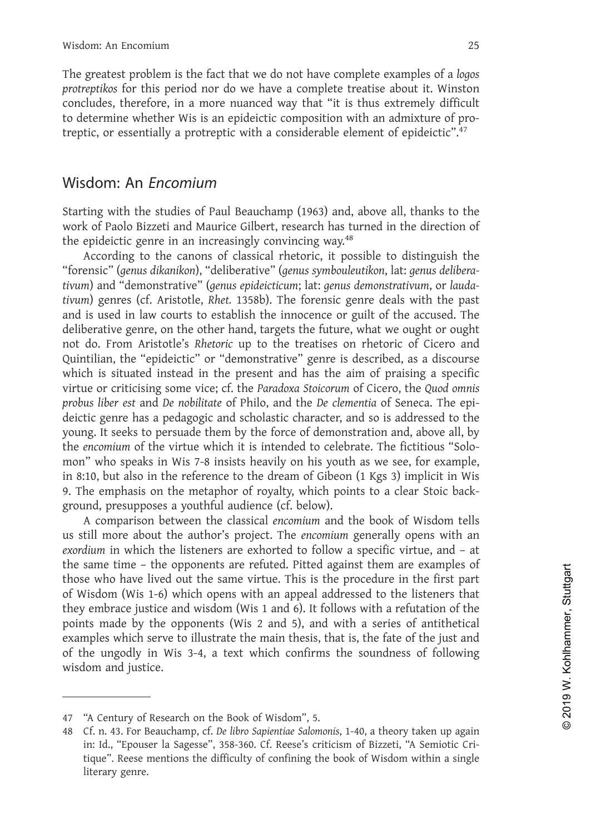Wisdom: An Encomium<br>The greatest problem is the fact that we do not have complete examples of a logos<br>protreptikos for this period nor do we have a complete treatise about it. Winston<br>concludes, therefore, in a more nuance Wisdom: An Encomium<br>The greatest problem is the fact that we do not have complete examples of a *logos*<br>protreptikos for this period nor do we have a complete treatise about it. Winston<br>concludes, therefore, in a more nuan *Protegrams* wisdom: An Encomium<br> *proteptikos* for this period nor do we have a complete treatise about it. Winston<br>
concludes, therefore, in a more nuanced way that "it is thus extremely difficult<br>
to determine whether W Wisdom: An Encomium 25<br>The greatest problem is the fact that we do not have complete examples of a logos<br>protreptikos for this period nor do we have a complete treatise about it. Winston<br>concludes, therefore, in a more nua Wisdom: An Encomium<br>The greatest problem is the fact that we do not have complete examples of a logos<br>protreptikos for this period nor do we have a complete treatise about it. Winston<br>concludes, therefore, in a more nuance Xisdom: An Encomium<br>The greatest problem is the fact that we do not have complete examples of a *logos*<br>protreptikos for this period nor do we have a complete treatise about it. Winston<br>concludes, therefore, in a more nuan protreptikos for this period nor do we have a complete treatise about it. Winston<br>concludes, therefore, in a more nuanced way that "it is thus extremely difficult<br>to determine whether Wis is an epideictic composition with

concludes, therefore, in a more nuanced way that "it is thus extremely difficult<br>to determine whether Wis is an epideictic composition with an admixture of pro-<br>treptic, or essentially a protreptic with a considerable elem to determine whether Wis is an epideictic composition with an admixture of protreptic, or essentially a protreptic with a considerable element of epideictic".<sup>47</sup><br>
Wisdom: An *Encomium*<br>
Starting with the studies of Paul B protreptikos for this period nor do we have a complete treatise about it. Winston concludes, therefore, in a more nuared way that "it is thus extremely difficult<br>to determine whether Wis is an epideictic composition with a concludes, therefore, in a more nuanced way that "it is thus extremely difficult<br>to determine whether Wis is an epideictic composition with an admixture of pro-<br>treptic, or essentially a protreptic with a considerable elem **Xisdom:** An *Encomium*<br>
Starting with the studies of Paul Beauchamp (1963) and, above all, thanks to the<br>
work of Paolo Bizzeti and Maurice Gilbert, research has turned in the direction of<br>
the epideictic genre in an incr **Example 12**<br>
Starting with the studies of Paul Beauchamp (1963) and, above all, thanks to the<br>
work of Paolo Bizzeti and Maurice Gilbert, research has turned in the direction of<br>
the epideictic genre in an increasingly co Starting with the studies of Paul Beauchamp (1963) and, above all, thanks to the work of Paolo Bizzeti and Maurice Gilbert, research has turned in the direction of the epideictic genre in an increasingly convincing way.<sup>48</sup> starting with the studies of real Beadtnamp (1995) and, adove all, thanks to the epidectic genre in an increasingly convincing way.<sup>48</sup> According to the canons of classical rhetoric, it possible to distinguish the "forensi work or radio bizzeti and wataric under under direction ras turned in the direction of<br>the epideictic genre in an increasingly convincing way.<sup>48</sup><br>According to the canons of classical rhetoric, it possible to distinguish t the epuctic general an interastingy convincing way.<br>
According to the canons of classical rhetoric, it possible to distinguish the<br>
"forensic" (genus dikanikon), "deliberative" (genus symbouleutikon, lat: genus delibera-<br> Starting with the studies of Paul Beauchamp (1963) and, above all, thanks to the work of Paolo Bizzeti and Maurice Gilbert, research has turned in the direction of the epidecitic gerne in an increasingly convincing way.<sup>48</sup> *providential meta and Matrice Gilbert, research has turned in the direction of* the epidectic genre in an increasingly convincing way.<sup>48</sup>  $\pm$  cocording to the canons of classical rhetoric, it possible to distinguish the *divani*) and definious definite we lignal sputchtular, i.a. gents demonstratively, the mast divany) genres (cf. Aristotle, Rhet. 1358b). The forensic genre deals with the past and is used in law courts to establish the in wann genes (cl. Ansloue, *knet.* 15250). In toreanst genere deast wint the past<br>and is used in law courts to establish the innocence or guilt of the accused. The<br>deliberative gener, on the other hand, targets the future, w and is used in law courts to establish the inhoteker of guit of the actused. The actual chilebrative genre, on the other hand, targets the future, what we ought or oright not do. From Aristotle's *Rhetoric* up to the treat under alwe genie, on the other hand, targets in the theat with we togeth of ought<br>anot do. From Aristotle's Retoric up to the treatises on relative of Gicero and<br>Quintilian, the "epideictic" or "demonstrative" gener is des not co. From Aristote s *mielon* cup to the treatises on frieton to cleero and control cumulatian, the "epideictic" or "demonstrative" genre is described, as a discourse which is situated instead in the present and has the Quintinan, the ephaetic of demonstrative gente is described, as a discourse<br>which is situated insted in the present and has the aim of praising a specific<br>wirtue or criticising some vice; cf. the Paradoxa Stoicorum of Cice which is situated instead in the present and has the aim of<br>virtue or criticising some vice; cf. the *Paradoxa Stoicorum* of Cic<br>probus liber est and *De nobilitate* of Philo, and the *De clementia*<br>deictic genre has a ped eo crituising some viec, ci. the *ratuatoal subtorum* of Citero, the Quatominian of the parentic genre has a pedagogic and scholastic character, and so is addressed to the pg. It seeks to persuade them by the force of demo

proviss the rest and De *houtinua* of Princ, and the *D* et centeration of senects. The epinement of the proming it seeks to persuade them by the force of demonstration and, above all, by the *encomium* of the virtue which **Exordium** in seeks to persuade them by the force of demonstration and, above all, by the *encomium* of the virtue which it is intended to celebrate. The fictitious "Solomon" who speaks in Wis 7-8 insists heavily on his yo youry. It seeks to persuate them to ythe ote of uemotistation and, above an, by<br>the enomium of the virtue which it is intended to celebrate. The fictitious "Solo-<br>mon" who speaks in Wis 7-8 insists heavily on his youth as the encomum of the withe which it is interlued to Gelerate. The intuition solution on" who speaks in Wis 7-8 insists heavily on his youth as we see, for example, in 3:10, but also in the reference to the dream of Gibeon ( more word speaks in wis 7-8 instas feadily off ins youth as we see, tor example,<br>in 8:10, but also in the reference to the dream of Gibeon (1 Kgs 3) implicit in Wis<br>9. The emphasis on the metaphor of royalty, which points the sinty, out also in the reterviere to the usean of tolloon (1 kgs 3) implicit in wisdom, the emphasis on the metaphor of royalty, which points to a clear Stoic background, presupposes a youthful audience (cf. below). A 9. The emphasis on the metaphor or foyalty, which points to a clear stole back-<br>ground, presupposes a youthful aidence (cf. below).<br>A comparison between the classical *encomium* and the book of Wisdom tells<br>us still more examples which undurent (i.e. below).<br>
A comparison between the classical *encomium* and the book of Wisdom tells<br>
us still more about the author's project. The *encomium* generally opens with an<br>
exordium in which the li A comparison between the classical *entomium* and the olox of wisdom tens<br>still more about the author's project. The *encomium* generally opens with an<br>exordium in which the listeners are exhorted to follow a specific vir us still more about the author<br>exordium in which the listene<br>the same time – the opponer<br>those who have lived out the<br>of Wisdom (Wis 1-6) which o<br>they embrace justice and wisc<br>points made by the opponer<br>examples which serv they embrace justice and wisdom (Wis 1 and 6). It follows v<br>points made by the opponents (Wis 2 and 5), and with a<br>examples which serve to illustrate the main thesis, that is, t<br>of the ungodly in Wis 3-4, a text which conf 44 Century of Research on the Book of Wisdom", 5.<br>
48 Cf. N. 43. For Beauchamp, cf. *De libro Sapientiae and wisdom* (Wis 1 and 6). It follows with a refutation of the points made by the opponents (Wis 2 and 5), and 6). It

in: Id., "Epouser la Sagesse", 358-360. Cf. Reese's criticism of Bizzeti, "A Semiotic Crithe ungodly in Wis 3-4, a text which confirms the soundness of following<br>the ungodly in Wis 3-4, a text which confirms the soundness of following<br>tom and justice.<br>"A Century of Research on the Book of Wisdom", 5.<br>Cf. n. 4 In the ungouly in wis 3<br>Iom and justice.<br>"A Century of Research<br>Cf. n. 43. For Beauchamp<br>in: Id., "Epouser la Sage<br>tique". Reese mentions<br>literary genre.